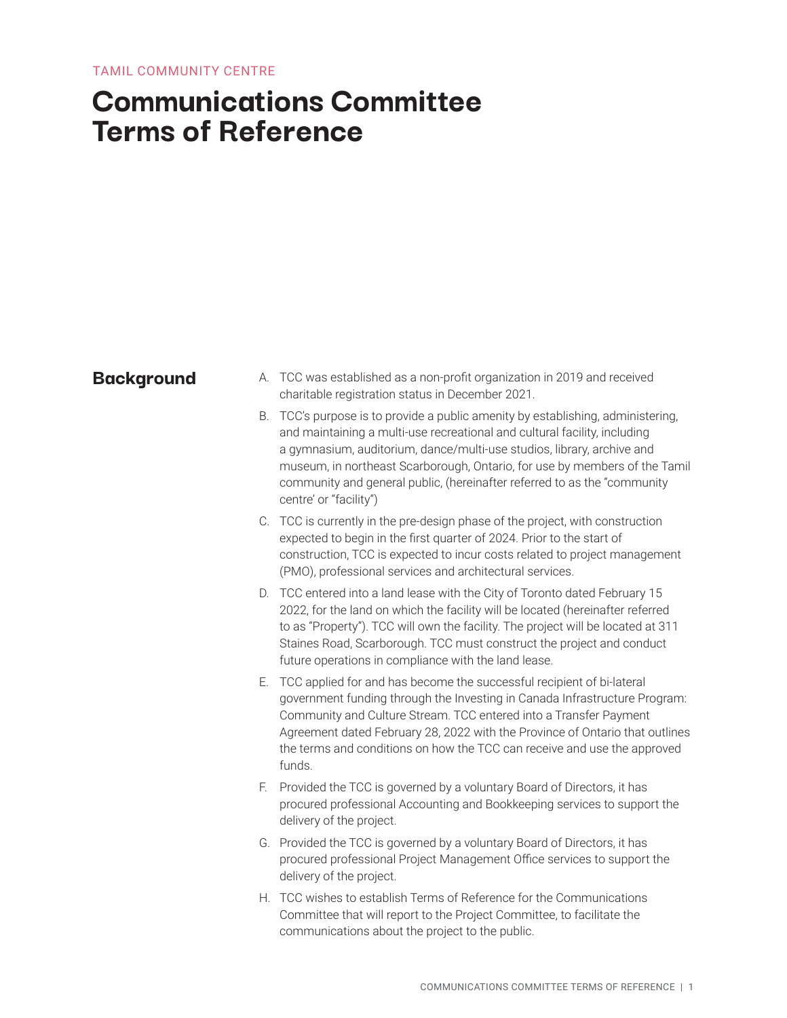# **Communications Committee Terms of Reference**

- **Background** A. TCC was established as a non-profit organization in 2019 and received charitable registration status in December 2021.
	- B. TCC's purpose is to provide a public amenity by establishing, administering, and maintaining a multi-use recreational and cultural facility, including a gymnasium, auditorium, dance/multi-use studios, library, archive and museum, in northeast Scarborough, Ontario, for use by members of the Tamil community and general public, (hereinafter referred to as the "community centre' or "facility")
	- C. TCC is currently in the pre-design phase of the project, with construction expected to begin in the first quarter of 2024. Prior to the start of construction, TCC is expected to incur costs related to project management (PMO), professional services and architectural services.
	- D. TCC entered into a land lease with the City of Toronto dated February 15 2022, for the land on which the facility will be located (hereinafter referred to as "Property"). TCC will own the facility. The project will be located at 311 Staines Road, Scarborough. TCC must construct the project and conduct future operations in compliance with the land lease.
	- E. TCC applied for and has become the successful recipient of bi-lateral government funding through the Investing in Canada Infrastructure Program: Community and Culture Stream. TCC entered into a Transfer Payment Agreement dated February 28, 2022 with the Province of Ontario that outlines the terms and conditions on how the TCC can receive and use the approved funds.
	- F. Provided the TCC is governed by a voluntary Board of Directors, it has procured professional Accounting and Bookkeeping services to support the delivery of the project.
	- G. Provided the TCC is governed by a voluntary Board of Directors, it has procured professional Project Management Office services to support the delivery of the project.
	- H. TCC wishes to establish Terms of Reference for the Communications Committee that will report to the Project Committee, to facilitate the communications about the project to the public.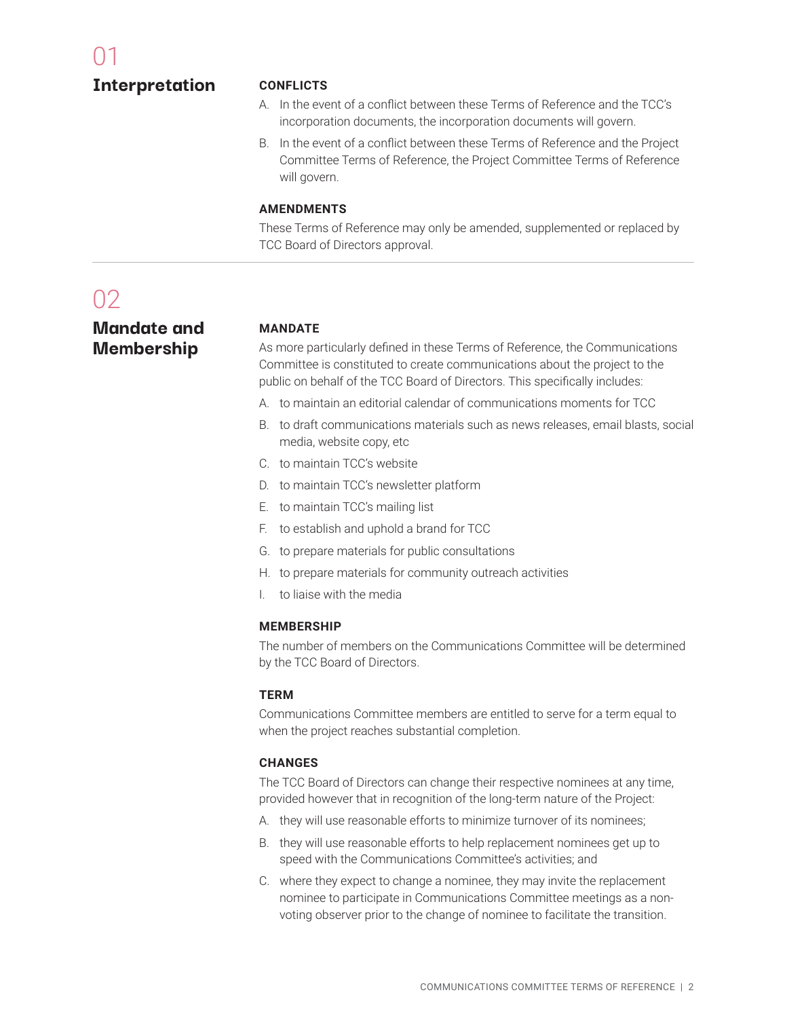### **Interpretation**

### **CONFLICTS**

- A. In the event of a conflict between these Terms of Reference and the TCC's incorporation documents, the incorporation documents will govern.
- B. In the event of a conflict between these Terms of Reference and the Project Committee Terms of Reference, the Project Committee Terms of Reference will govern.

#### **AMENDMENTS**

These Terms of Reference may only be amended, supplemented or replaced by TCC Board of Directors approval.

# $02$

### **Mandate and Membership**

#### **MANDATE**

As more particularly defined in these Terms of Reference, the Communications Committee is constituted to create communications about the project to the public on behalf of the TCC Board of Directors. This specifically includes:

- A. to maintain an editorial calendar of communications moments for TCC
- B. to draft communications materials such as news releases, email blasts, social media, website copy, etc
- C. to maintain TCC's website
- D. to maintain TCC's newsletter platform
- E. to maintain TCC's mailing list
- F. to establish and uphold a brand for TCC
- G. to prepare materials for public consultations
- H. to prepare materials for community outreach activities
- I. to liaise with the media

#### **MEMBERSHIP**

The number of members on the Communications Committee will be determined by the TCC Board of Directors.

#### **TERM**

Communications Committee members are entitled to serve for a term equal to when the project reaches substantial completion.

#### **CHANGES**

The TCC Board of Directors can change their respective nominees at any time, provided however that in recognition of the long-term nature of the Project:

- A. they will use reasonable efforts to minimize turnover of its nominees;
- B. they will use reasonable efforts to help replacement nominees get up to speed with the Communications Committee's activities; and
- C. where they expect to change a nominee, they may invite the replacement nominee to participate in Communications Committee meetings as a nonvoting observer prior to the change of nominee to facilitate the transition.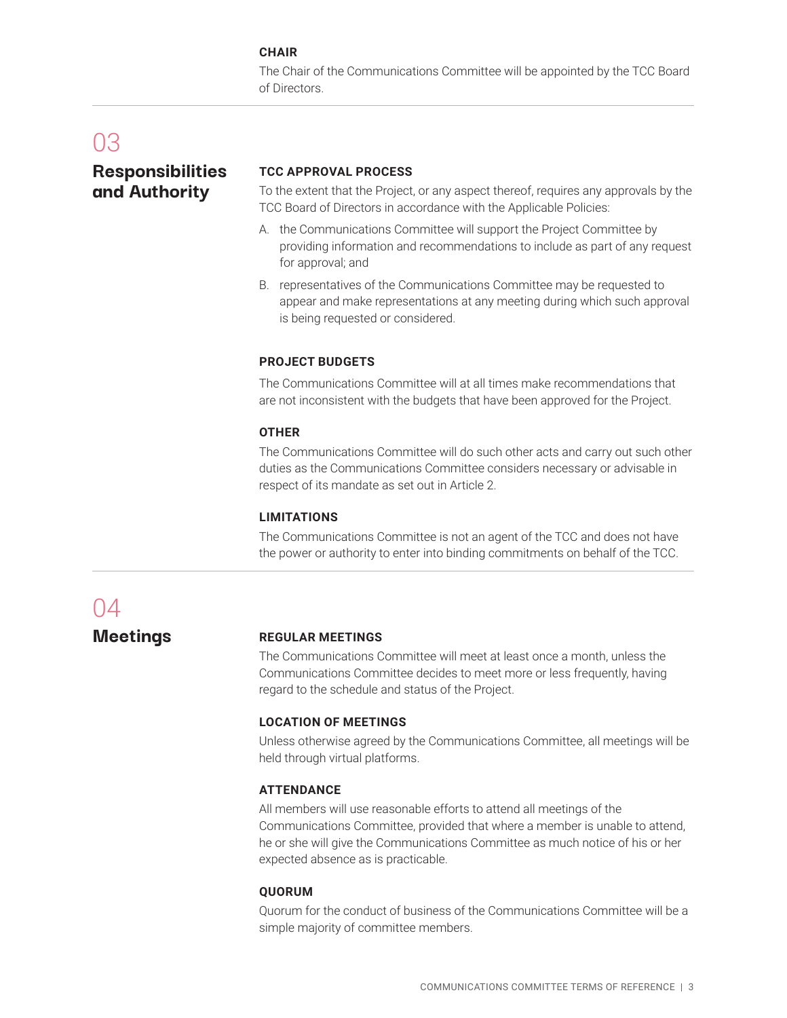#### **CHAIR**

The Chair of the Communications Committee will be appointed by the TCC Board of Directors.

## 03

### **Responsibilities and Authority**

#### **TCC APPROVAL PROCESS**

To the extent that the Project, or any aspect thereof, requires any approvals by the TCC Board of Directors in accordance with the Applicable Policies:

- A. the Communications Committee will support the Project Committee by providing information and recommendations to include as part of any request for approval; and
- B. representatives of the Communications Committee may be requested to appear and make representations at any meeting during which such approval is being requested or considered.

#### **PROJECT BUDGETS**

The Communications Committee will at all times make recommendations that are not inconsistent with the budgets that have been approved for the Project.

#### **OTHER**

The Communications Committee will do such other acts and carry out such other duties as the Communications Committee considers necessary or advisable in respect of its mandate as set out in Article 2.

#### **LIMITATIONS**

The Communications Committee is not an agent of the TCC and does not have the power or authority to enter into binding commitments on behalf of the TCC.

# 04

**Meetings**

#### **REGULAR MEETINGS**

The Communications Committee will meet at least once a month, unless the Communications Committee decides to meet more or less frequently, having regard to the schedule and status of the Project.

#### **LOCATION OF MEETINGS**

Unless otherwise agreed by the Communications Committee, all meetings will be held through virtual platforms.

#### **ATTENDANCE**

All members will use reasonable efforts to attend all meetings of the Communications Committee, provided that where a member is unable to attend, he or she will give the Communications Committee as much notice of his or her expected absence as is practicable.

#### **QUORUM**

Quorum for the conduct of business of the Communications Committee will be a simple majority of committee members.